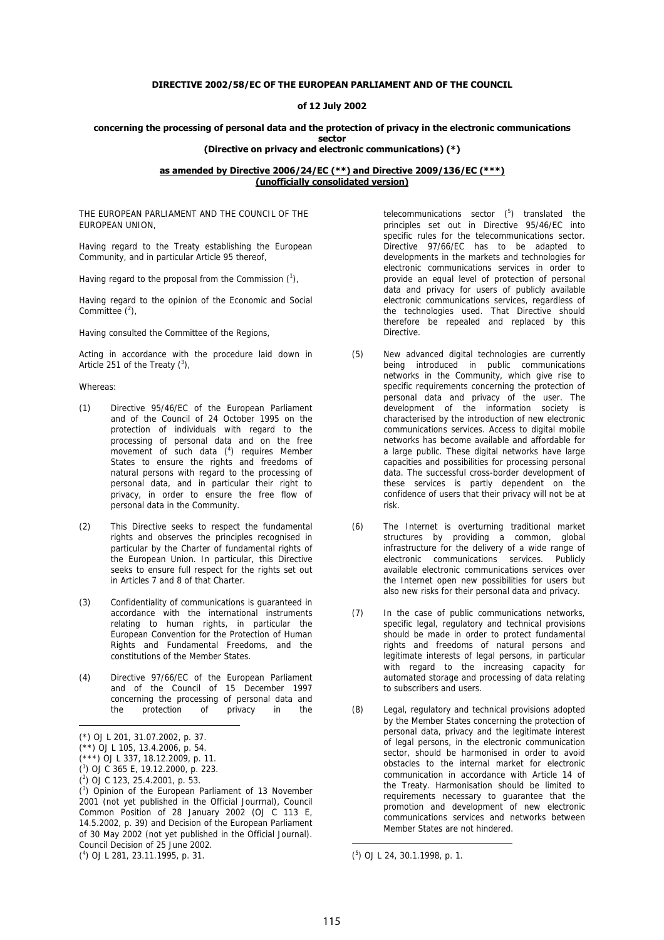## **DIRECTIVE 2002/58/EC OF THE EUROPEAN PARLIAMENT AND OF THE COUNCIL**

# **of 12 July 2002**

#### **concerning the processing of personal data and the protection of privacy in the electronic communications sector**

## **(Directive on privacy and electronic communications) (\*)**

# **as amended by Directive 2006/24/EC (\*\*) and Directive 2009/136/EC (\*\*\*) (unofficially consolidated version)**

THE EUROPEAN PARLIAMENT AND THE COUNCIL OF THE EUROPEAN UNION,

Having regard to the Treaty establishing the European Community, and in particular Article 95 thereof,

Having regard to the proposal from the Commission (1),

Having regard to the opinion of the Economic and Social Committee (<sup>2</sup>),

Having consulted the Committee of the Regions,

Acting in accordance with the procedure laid down in Article 251 of the Treaty  $(^3)$ ,

Whereas:

- (1) Directive 95/46/EC of the European Parliament and of the Council of 24 October 1995 on the protection of individuals with regard to the processing of personal data and on the free movement of such data (<sup>4</sup> ) requires Member States to ensure the rights and freedoms of natural persons with regard to the processing of personal data, and in particular their right to privacy, in order to ensure the free flow of personal data in the Community.
- (2) This Directive seeks to respect the fundamental rights and observes the principles recognised in particular by the Charter of fundamental rights of the European Union. In particular, this Directive seeks to ensure full respect for the rights set out in Articles 7 and 8 of that Charter.
- (3) Confidentiality of communications is guaranteed in accordance with the international instruments relating to human rights, in particular the European Convention for the Protection of Human Rights and Fundamental Freedoms, and the constitutions of the Member States.
- (4) Directive 97/66/EC of the European Parliament and of the Council of 15 December 1997 concerning the processing of personal data and<br>the protection of privacy in the the protection of privacy in the

<u>.</u>

telecommunications sector  $(^5)$  translated the principles set out in Directive 95/46/EC into specific rules for the telecommunications sector. Directive 97/66/EC has to be adapted to developments in the markets and technologies for electronic communications services in order to provide an equal level of protection of personal data and privacy for users of publicly available electronic communications services, regardless of the technologies used. That Directive should therefore be repealed and replaced by this **Directive** 

- (5) New advanced digital technologies are currently being introduced in public communications networks in the Community, which give rise to specific requirements concerning the protection of personal data and privacy of the user. The development of the information society is characterised by the introduction of new electronic communications services. Access to digital mobile networks has become available and affordable for a large public. These digital networks have large capacities and possibilities for processing personal data. The successful cross-border development of these services is partly dependent on the confidence of users that their privacy will not be at risk.
- (6) The Internet is overturning traditional market structures by providing a common, global infrastructure for the delivery of a wide range of electronic communications services. Publicly available electronic communications services over the Internet open new possibilities for users but also new risks for their personal data and privacy.
- (7) In the case of public communications networks, specific legal, regulatory and technical provisions should be made in order to protect fundamental rights and freedoms of natural persons and legitimate interests of legal persons, in particular with regard to the increasing capacity for automated storage and processing of data relating to subscribers and users.
- (8) Legal, regulatory and technical provisions adopted by the Member States concerning the protection of personal data, privacy and the legitimate interest of legal persons, in the electronic communication sector, should be harmonised in order to avoid obstacles to the internal market for electronic communication in accordance with Article 14 of the Treaty. Harmonisation should be limited to requirements necessary to guarantee that the promotion and development of new electronic communications services and networks between Member States are not hindered.

l

<sup>(\*)</sup> OJ L 201, 31.07.2002, p. 37.

<sup>(\*\*)</sup> OJ L 105, 13.4.2006, p. 54.

<sup>(\*\*\*)</sup> OJ L 337, 18.12.2009, p. 11.

<sup>(</sup> 1 ) OJ C 365 E, 19.12.2000, p. 223.

<sup>(</sup> 2 ) OJ C 123, 25.4.2001, p. 53.

<sup>(</sup> 3 ) Opinion of the European Parliament of 13 November 2001 (not yet published in the Official Jourrnal), Council Common Position of 28 January 2002 (OJ C 113 E, 14.5.2002, p. 39) and Decision of the European Parliament of 30 May 2002 (not yet published in the Official Journal). Council Decision of 25 June 2002.

<sup>(</sup> 4 ) OJ L 281, 23.11.1995, p. 31.

<sup>(</sup> 5 ) OJ L 24, 30.1.1998, p. 1.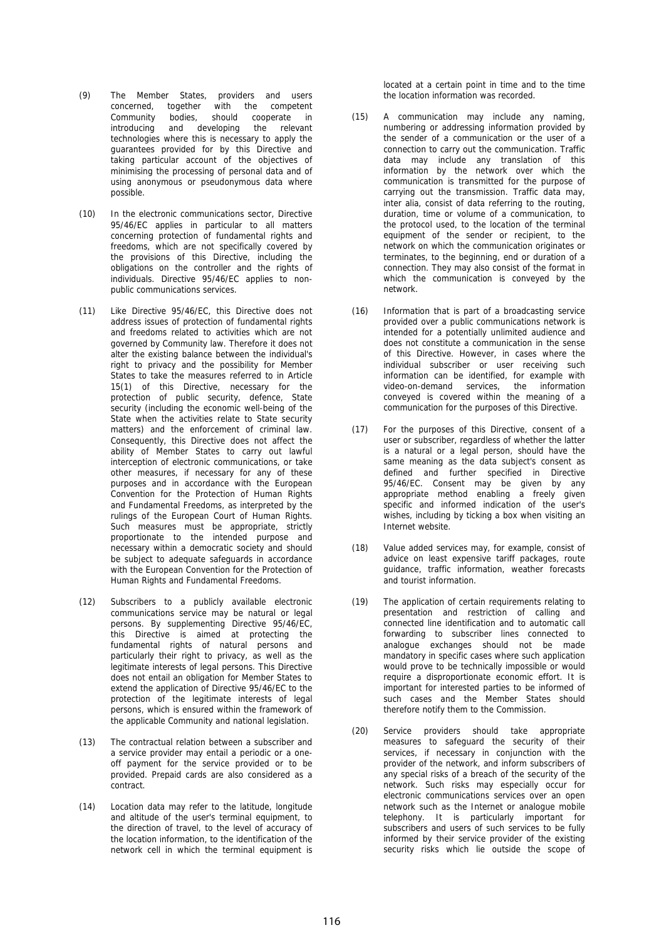- (9) The Member States, providers and users concerned, together with the competent Community bodies, should cooperate in introducing and developing the relevant technologies where this is necessary to apply the guarantees provided for by this Directive and taking particular account of the objectives of minimising the processing of personal data and of using anonymous or pseudonymous data where possible.
- (10) In the electronic communications sector, Directive 95/46/EC applies in particular to all matters concerning protection of fundamental rights and freedoms, which are not specifically covered by the provisions of this Directive, including the obligations on the controller and the rights of individuals. Directive 95/46/EC applies to nonpublic communications services.
- (11) Like Directive 95/46/EC, this Directive does not address issues of protection of fundamental rights and freedoms related to activities which are not governed by Community law. Therefore it does not alter the existing balance between the individual's right to privacy and the possibility for Member States to take the measures referred to in Article 15(1) of this Directive, necessary for the protection of public security, defence, State security (including the economic well-being of the State when the activities relate to State security matters) and the enforcement of criminal law. Consequently, this Directive does not affect the ability of Member States to carry out lawful interception of electronic communications, or take other measures, if necessary for any of these purposes and in accordance with the European Convention for the Protection of Human Rights and Fundamental Freedoms, as interpreted by the rulings of the European Court of Human Rights. Such measures must be appropriate, strictly proportionate to the intended purpose and necessary within a democratic society and should be subject to adequate safeguards in accordance with the European Convention for the Protection of Human Rights and Fundamental Freedoms.
- (12) Subscribers to a publicly available electronic communications service may be natural or legal persons. By supplementing Directive 95/46/EC, this Directive is aimed at protecting the fundamental rights of natural persons and particularly their right to privacy, as well as the legitimate interests of legal persons. This Directive does not entail an obligation for Member States to extend the application of Directive 95/46/EC to the protection of the legitimate interests of legal persons, which is ensured within the framework of the applicable Community and national legislation.
- (13) The contractual relation between a subscriber and a service provider may entail a periodic or a oneoff payment for the service provided or to be provided. Prepaid cards are also considered as a contract.
- (14) Location data may refer to the latitude, longitude and altitude of the user's terminal equipment, to the direction of travel, to the level of accuracy of the location information, to the identification of the network cell in which the terminal equipment is

located at a certain point in time and to the time the location information was recorded.

- (15) A communication may include any naming, numbering or addressing information provided by the sender of a communication or the user of a connection to carry out the communication. Traffic data may include any translation of this information by the network over which the communication is transmitted for the purpose of carrying out the transmission. Traffic data may, inter alia, consist of data referring to the routing, duration, time or volume of a communication, to the protocol used, to the location of the terminal equipment of the sender or recipient, to the network on which the communication originates or terminates, to the beginning, end or duration of a connection. They may also consist of the format in which the communication is conveyed by the network.
- (16) Information that is part of a broadcasting service provided over a public communications network is intended for a potentially unlimited audience and does not constitute a communication in the sense of this Directive. However, in cases where the individual subscriber or user receiving such information can be identified, for example with video-on-demand services, the information conveyed is covered within the meaning of a communication for the purposes of this Directive.
- (17) For the purposes of this Directive, consent of a user or subscriber, regardless of whether the latter is a natural or a legal person, should have the same meaning as the data subject's consent as defined and further specified in Directive 95/46/EC. Consent may be given by any appropriate method enabling a freely given specific and informed indication of the user's wishes, including by ticking a box when visiting an Internet website.
- (18) Value added services may, for example, consist of advice on least expensive tariff packages, route guidance, traffic information, weather forecasts and tourist information.
- (19) The application of certain requirements relating to presentation and restriction of calling and connected line identification and to automatic call forwarding to subscriber lines connected to analogue exchanges should not be made mandatory in specific cases where such application would prove to be technically impossible or would require a disproportionate economic effort. It is important for interested parties to be informed of such cases and the Member States should therefore notify them to the Commission.
- (20) Service providers should take appropriate measures to safeguard the security of their services, if necessary in conjunction with the provider of the network, and inform subscribers of any special risks of a breach of the security of the network. Such risks may especially occur for electronic communications services over an open network such as the Internet or analogue mobile telephony. It is particularly important for subscribers and users of such services to be fully informed by their service provider of the existing security risks which lie outside the scope of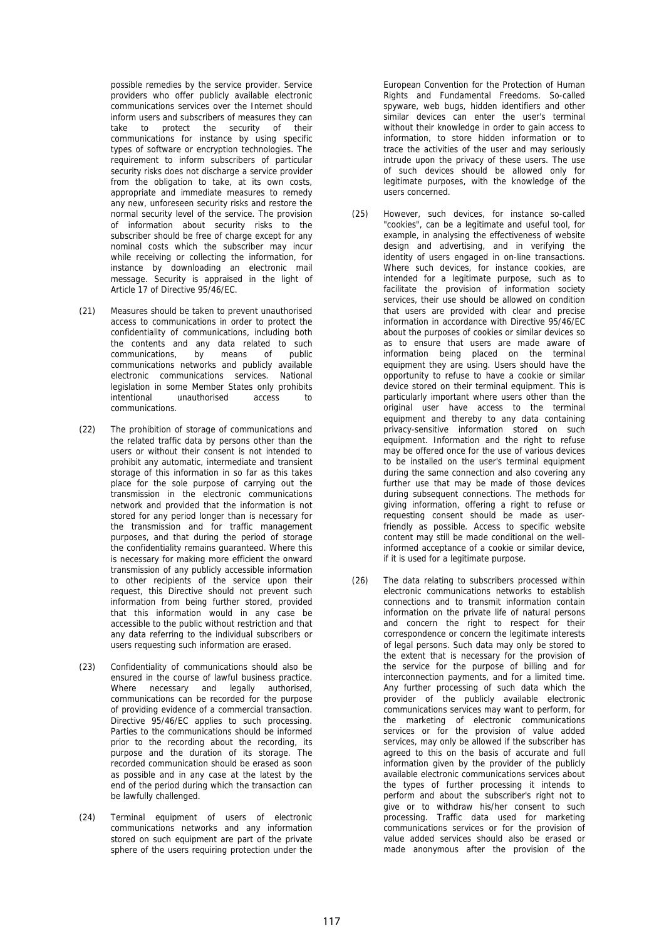possible remedies by the service provider. Service providers who offer publicly available electronic communications services over the Internet should inform users and subscribers of measures they can take to protect the security of their communications for instance by using specific types of software or encryption technologies. The requirement to inform subscribers of particular security risks does not discharge a service provider from the obligation to take, at its own costs, appropriate and immediate measures to remedy any new, unforeseen security risks and restore the normal security level of the service. The provision of information about security risks to the subscriber should be free of charge except for any nominal costs which the subscriber may incur while receiving or collecting the information, for instance by downloading an electronic mail message. Security is appraised in the light of Article 17 of Directive 95/46/EC.

- (21) Measures should be taken to prevent unauthorised access to communications in order to protect the confidentiality of communications, including both the contents and any data related to such communications, by means of public communications networks and publicly available electronic communications services. National legislation in some Member States only prohibits unauthorised communications.
- (22) The prohibition of storage of communications and the related traffic data by persons other than the users or without their consent is not intended to prohibit any automatic, intermediate and transient storage of this information in so far as this takes place for the sole purpose of carrying out the transmission in the electronic communications network and provided that the information is not stored for any period longer than is necessary for the transmission and for traffic management purposes, and that during the period of storage the confidentiality remains guaranteed. Where this is necessary for making more efficient the onward transmission of any publicly accessible information to other recipients of the service upon their request, this Directive should not prevent such information from being further stored, provided that this information would in any case be accessible to the public without restriction and that any data referring to the individual subscribers or users requesting such information are erased.
- (23) Confidentiality of communications should also be ensured in the course of lawful business practice. Where necessary and legally authorised, communications can be recorded for the purpose of providing evidence of a commercial transaction. Directive 95/46/EC applies to such processing. Parties to the communications should be informed prior to the recording about the recording, its purpose and the duration of its storage. The recorded communication should be erased as soon as possible and in any case at the latest by the end of the period during which the transaction can be lawfully challenged.
- (24) Terminal equipment of users of electronic communications networks and any information stored on such equipment are part of the private sphere of the users requiring protection under the

European Convention for the Protection of Human Rights and Fundamental Freedoms. So-called spyware, web bugs, hidden identifiers and other similar devices can enter the user's terminal without their knowledge in order to gain access to information, to store hidden information or to trace the activities of the user and may seriously intrude upon the privacy of these users. The use of such devices should be allowed only for legitimate purposes, with the knowledge of the users concerned.

- (25) However, such devices, for instance so-called "cookies", can be a legitimate and useful tool, for example, in analysing the effectiveness of website design and advertising, and in verifying the identity of users engaged in on-line transactions. Where such devices, for instance cookies, are intended for a legitimate purpose, such as to facilitate the provision of information society services, their use should be allowed on condition that users are provided with clear and precise information in accordance with Directive 95/46/EC about the purposes of cookies or similar devices so as to ensure that users are made aware of information being placed on the terminal equipment they are using. Users should have the opportunity to refuse to have a cookie or similar device stored on their terminal equipment. This is particularly important where users other than the original user have access to the terminal equipment and thereby to any data containing privacy-sensitive information stored on such equipment. Information and the right to refuse may be offered once for the use of various devices to be installed on the user's terminal equipment during the same connection and also covering any further use that may be made of those devices during subsequent connections. The methods for giving information, offering a right to refuse or requesting consent should be made as userfriendly as possible. Access to specific website content may still be made conditional on the wellinformed acceptance of a cookie or similar device, if it is used for a legitimate purpose.
- (26) The data relating to subscribers processed within electronic communications networks to establish connections and to transmit information contain information on the private life of natural persons and concern the right to respect for their correspondence or concern the legitimate interests of legal persons. Such data may only be stored to the extent that is necessary for the provision of the service for the purpose of billing and for interconnection payments, and for a limited time. Any further processing of such data which the provider of the publicly available electronic communications services may want to perform, for the marketing of electronic communications services or for the provision of value added services, may only be allowed if the subscriber has agreed to this on the basis of accurate and full information given by the provider of the publicly available electronic communications services about the types of further processing it intends to perform and about the subscriber's right not to give or to withdraw his/her consent to such processing. Traffic data used for marketing communications services or for the provision of value added services should also be erased or made anonymous after the provision of the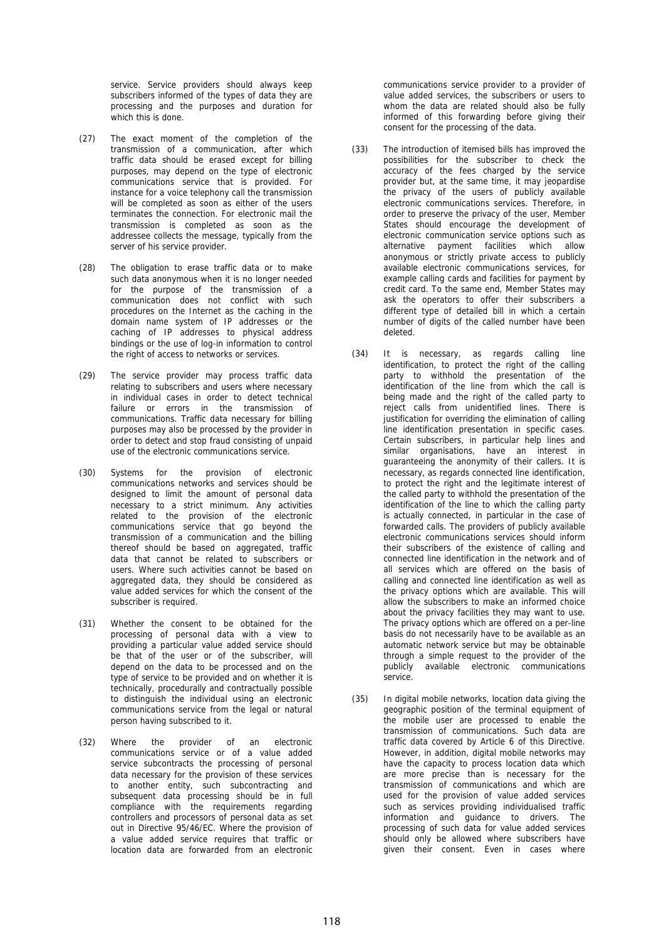service. Service providers should always keep subscribers informed of the types of data they are processing and the purposes and duration for which this is done.

- (27) The exact moment of the completion of the transmission of a communication, after which traffic data should be erased except for billing purposes, may depend on the type of electronic communications service that is provided. For instance for a voice telephony call the transmission will be completed as soon as either of the users terminates the connection. For electronic mail the transmission is completed as soon as the addressee collects the message, typically from the server of his service provider.
- (28) The obligation to erase traffic data or to make such data anonymous when it is no longer needed for the purpose of the transmission of a communication does not conflict with such procedures on the Internet as the caching in the domain name system of IP addresses or the caching of IP addresses to physical address bindings or the use of log-in information to control the right of access to networks or services.
- (29) The service provider may process traffic data relating to subscribers and users where necessary in individual cases in order to detect technical failure or errors in the transmission of communications. Traffic data necessary for billing purposes may also be processed by the provider in order to detect and stop fraud consisting of unpaid use of the electronic communications service.
- (30) Systems for the provision of electronic communications networks and services should be designed to limit the amount of personal data necessary to a strict minimum. Any activities related to the provision of the electronic communications service that go beyond the transmission of a communication and the billing thereof should be based on aggregated, traffic data that cannot be related to subscribers or users. Where such activities cannot be based on aggregated data, they should be considered as value added services for which the consent of the subscriber is required.
- (31) Whether the consent to be obtained for the processing of personal data with a view to providing a particular value added service should be that of the user or of the subscriber, will depend on the data to be processed and on the type of service to be provided and on whether it is technically, procedurally and contractually possible to distinguish the individual using an electronic communications service from the legal or natural person having subscribed to it.
- (32) Where the provider of an electronic communications service or of a value added service subcontracts the processing of personal data necessary for the provision of these services to another entity, such subcontracting and subsequent data processing should be in full compliance with the requirements regarding controllers and processors of personal data as set out in Directive 95/46/EC. Where the provision of a value added service requires that traffic or location data are forwarded from an electronic

communications service provider to a provider of value added services, the subscribers or users to whom the data are related should also be fully informed of this forwarding before giving their consent for the processing of the data.

- (33) The introduction of itemised bills has improved the possibilities for the subscriber to check the accuracy of the fees charged by the service provider but, at the same time, it may jeopardise the privacy of the users of publicly available electronic communications services. Therefore, in order to preserve the privacy of the user, Member States should encourage the development of electronic communication service options such as alternative payment facilities which allow anonymous or strictly private access to publicly available electronic communications services, for example calling cards and facilities for payment by credit card. To the same end, Member States may ask the operators to offer their subscribers a different type of detailed bill in which a certain number of digits of the called number have been deleted.
- (34) It is necessary, as regards calling line identification, to protect the right of the calling party to withhold the presentation of the identification of the line from which the call is being made and the right of the called party to reject calls from unidentified lines. There is justification for overriding the elimination of calling line identification presentation in specific cases. Certain subscribers, in particular help lines and similar organisations, have an interest in guaranteeing the anonymity of their callers. It is necessary, as regards connected line identification, to protect the right and the legitimate interest of the called party to withhold the presentation of the identification of the line to which the calling party is actually connected, in particular in the case of forwarded calls. The providers of publicly available electronic communications services should inform their subscribers of the existence of calling and connected line identification in the network and of all services which are offered on the basis of calling and connected line identification as well as the privacy options which are available. This will allow the subscribers to make an informed choice about the privacy facilities they may want to use. The privacy options which are offered on a per-line basis do not necessarily have to be available as an automatic network service but may be obtainable through a simple request to the provider of the publicly available electronic communications service.
- (35) In digital mobile networks, location data giving the geographic position of the terminal equipment of the mobile user are processed to enable the transmission of communications. Such data are traffic data covered by Article 6 of this Directive. However, in addition, digital mobile networks may have the capacity to process location data which are more precise than is necessary for the transmission of communications and which are used for the provision of value added services such as services providing individualised traffic information and guidance to drivers. The processing of such data for value added services should only be allowed where subscribers have given their consent. Even in cases where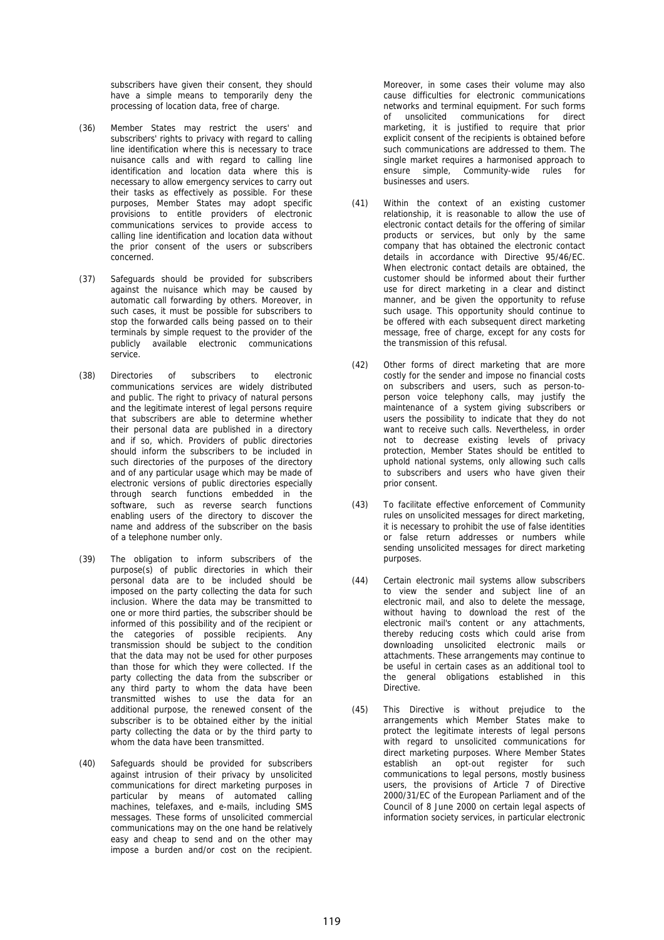subscribers have given their consent, they should have a simple means to temporarily deny the processing of location data, free of charge.

- (36) Member States may restrict the users' and subscribers' rights to privacy with regard to calling line identification where this is necessary to trace nuisance calls and with regard to calling line identification and location data where this is necessary to allow emergency services to carry out their tasks as effectively as possible. For these purposes, Member States may adopt specific provisions to entitle providers of electronic communications services to provide access to calling line identification and location data without the prior consent of the users or subscribers concerned.
- (37) Safeguards should be provided for subscribers against the nuisance which may be caused by automatic call forwarding by others. Moreover, in such cases, it must be possible for subscribers to stop the forwarded calls being passed on to their terminals by simple request to the provider of the publicly available electronic communications service.
- (38) Directories of subscribers to electronic communications services are widely distributed and public. The right to privacy of natural persons and the legitimate interest of legal persons require that subscribers are able to determine whether their personal data are published in a directory and if so, which. Providers of public directories should inform the subscribers to be included in such directories of the purposes of the directory and of any particular usage which may be made of electronic versions of public directories especially through search functions embedded in the software, such as reverse search functions enabling users of the directory to discover the name and address of the subscriber on the basis of a telephone number only.
- (39) The obligation to inform subscribers of the purpose(s) of public directories in which their personal data are to be included should be imposed on the party collecting the data for such inclusion. Where the data may be transmitted to one or more third parties, the subscriber should be informed of this possibility and of the recipient or the categories of possible recipients. Any transmission should be subject to the condition that the data may not be used for other purposes than those for which they were collected. If the party collecting the data from the subscriber or any third party to whom the data have been transmitted wishes to use the data for an additional purpose, the renewed consent of the subscriber is to be obtained either by the initial party collecting the data or by the third party to whom the data have been transmitted.
- (40) Safeguards should be provided for subscribers against intrusion of their privacy by unsolicited communications for direct marketing purposes in particular by means of automated calling machines, telefaxes, and e-mails, including SMS messages. These forms of unsolicited commercial communications may on the one hand be relatively easy and cheap to send and on the other may impose a burden and/or cost on the recipient.

Moreover, in some cases their volume may also cause difficulties for electronic communications networks and terminal equipment. For such forms of unsolicited communications for direct marketing, it is justified to require that prior explicit consent of the recipients is obtained before such communications are addressed to them. The single market requires a harmonised approach to ensure simple, Community-wide rules for businesses and users.

- (41) Within the context of an existing customer relationship, it is reasonable to allow the use of electronic contact details for the offering of similar products or services, but only by the same company that has obtained the electronic contact details in accordance with Directive 95/46/EC. When electronic contact details are obtained, the customer should be informed about their further use for direct marketing in a clear and distinct manner, and be given the opportunity to refuse such usage. This opportunity should continue to be offered with each subsequent direct marketing message, free of charge, except for any costs for the transmission of this refusal.
- (42) Other forms of direct marketing that are more costly for the sender and impose no financial costs on subscribers and users, such as person-toperson voice telephony calls, may justify the maintenance of a system giving subscribers or users the possibility to indicate that they do not want to receive such calls. Nevertheless, in order not to decrease existing levels of privacy protection, Member States should be entitled to uphold national systems, only allowing such calls to subscribers and users who have given their prior consent.
- (43) To facilitate effective enforcement of Community rules on unsolicited messages for direct marketing, it is necessary to prohibit the use of false identities or false return addresses or numbers while sending unsolicited messages for direct marketing purposes.
- (44) Certain electronic mail systems allow subscribers to view the sender and subject line of an electronic mail, and also to delete the message, without having to download the rest of the electronic mail's content or any attachments, thereby reducing costs which could arise from downloading unsolicited electronic mails or attachments. These arrangements may continue to be useful in certain cases as an additional tool to the general obligations established in this **Directive**
- (45) This Directive is without prejudice to the arrangements which Member States make to protect the legitimate interests of legal persons with regard to unsolicited communications for direct marketing purposes. Where Member States establish an opt-out register for such communications to legal persons, mostly business users, the provisions of Article 7 of Directive 2000/31/EC of the European Parliament and of the Council of 8 June 2000 on certain legal aspects of information society services, in particular electronic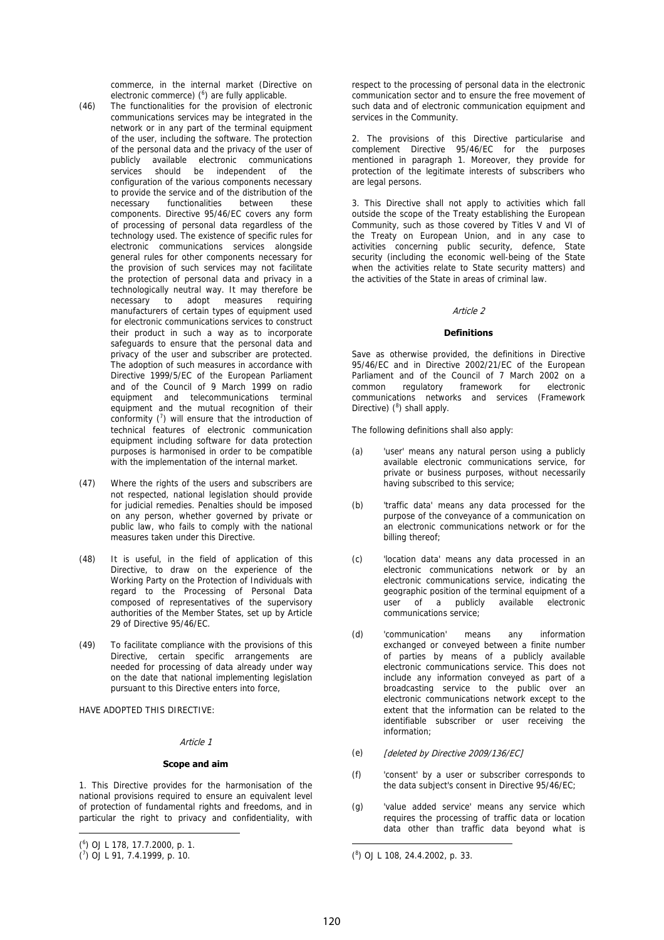commerce, in the internal market (Directive on electronic commerce) (<sup>6</sup>) are fully applicable.

- (46) The functionalities for the provision of electronic communications services may be integrated in the network or in any part of the terminal equipment of the user, including the software. The protection of the personal data and the privacy of the user of publicly available electronic communications services should be independent of the configuration of the various components necessary to provide the service and of the distribution of the functionalities components. Directive 95/46/EC covers any form of processing of personal data regardless of the technology used. The existence of specific rules for electronic communications services alongside general rules for other components necessary for the provision of such services may not facilitate the protection of personal data and privacy in a technologically neutral way. It may therefore be necessary to adopt measures requiring manufacturers of certain types of equipment used for electronic communications services to construct their product in such a way as to incorporate safeguards to ensure that the personal data and privacy of the user and subscriber are protected. The adoption of such measures in accordance with Directive 1999/5/EC of the European Parliament and of the Council of 9 March 1999 on radio equipment and telecommunications terminal equipment and the mutual recognition of their conformity (<sup>7</sup> ) will ensure that the introduction of technical features of electronic communication equipment including software for data protection purposes is harmonised in order to be compatible with the implementation of the internal market.
- (47) Where the rights of the users and subscribers are not respected, national legislation should provide for judicial remedies. Penalties should be imposed on any person, whether governed by private or public law, who fails to comply with the national measures taken under this Directive.
- (48) It is useful, in the field of application of this Directive, to draw on the experience of the Working Party on the Protection of Individuals with regard to the Processing of Personal Data composed of representatives of the supervisory authorities of the Member States, set up by Article 29 of Directive 95/46/EC.
- (49) To facilitate compliance with the provisions of this Directive, certain specific arrangements are needed for processing of data already under way on the date that national implementing legislation pursuant to this Directive enters into force,

HAVE ADOPTED THIS DIRECTIVE:

## Article 1

#### **Scope and aim**

1. This Directive provides for the harmonisation of the national provisions required to ensure an equivalent level of protection of fundamental rights and freedoms, and in particular the right to privacy and confidentiality, with

1

respect to the processing of personal data in the electronic communication sector and to ensure the free movement of such data and of electronic communication equipment and services in the Community.

2. The provisions of this Directive particularise and complement Directive 95/46/EC for the purposes mentioned in paragraph 1. Moreover, they provide for protection of the legitimate interests of subscribers who are legal persons.

3. This Directive shall not apply to activities which fall outside the scope of the Treaty establishing the European Community, such as those covered by Titles V and VI of the Treaty on European Union, and in any case to activities concerning public security, defence, State security (including the economic well-being of the State when the activities relate to State security matters) and the activities of the State in areas of criminal law.

### Article 2

## **Definitions**

Save as otherwise provided, the definitions in Directive 95/46/EC and in Directive 2002/21/EC of the European Parliament and of the Council of 7 March 2002 on a common regulatory framework for electronic communications networks and services (Framework Directive) (<sup>8</sup>) shall apply.

The following definitions shall also apply:

- (a) 'user' means any natural person using a publicly available electronic communications service, for private or business purposes, without necessarily having subscribed to this service;
- (b) 'traffic data' means any data processed for the purpose of the conveyance of a communication on an electronic communications network or for the billing thereof;
- (c) 'location data' means any data processed in an electronic communications network or by an electronic communications service, indicating the geographic position of the terminal equipment of a user of a publicly available electronic communications service;
- (d) 'communication' means any information exchanged or conveyed between a finite number of parties by means of a publicly available electronic communications service. This does not include any information conveyed as part of a broadcasting service to the public over an electronic communications network except to the extent that the information can be related to the identifiable subscriber or user receiving the information;
- (e) [deleted by Directive 2009/136/EC]
- (f) 'consent' by a user or subscriber corresponds to the data subject's consent in Directive 95/46/EC;
- (g) 'value added service' means any service which requires the processing of traffic data or location data other than traffic data beyond what is

l

<sup>(</sup> 6 ) OJ L 178, 17.7.2000, p. 1.

<sup>(</sup> 7 ) OJ L 91, 7.4.1999, p. 10.

<sup>(</sup> 8 ) OJ L 108, 24.4.2002, p. 33.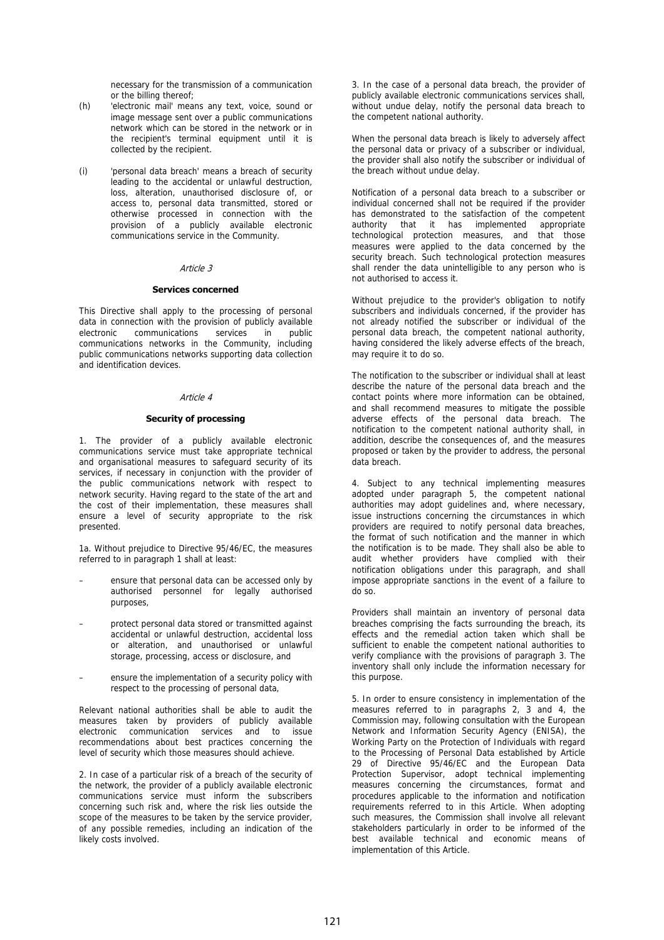necessary for the transmission of a communication or the billing thereof;

- (h) 'electronic mail' means any text, voice, sound or image message sent over a public communications network which can be stored in the network or in the recipient's terminal equipment until it is collected by the recipient.
- (i) 'personal data breach' means a breach of security leading to the accidental or unlawful destruction, loss, alteration, unauthorised disclosure of, or access to, personal data transmitted, stored or otherwise processed in connection with the provision of a publicly available electronic communications service in the Community.

## Article 3

## **Services concerned**

This Directive shall apply to the processing of personal data in connection with the provision of publicly available<br>electronic communications services in public communications services in public communications networks in the Community, including public communications networks supporting data collection and identification devices.

#### Article 4

## **Security of processing**

1. The provider of a publicly available electronic communications service must take appropriate technical and organisational measures to safeguard security of its services, if necessary in conjunction with the provider of the public communications network with respect to network security. Having regard to the state of the art and the cost of their implementation, these measures shall ensure a level of security appropriate to the risk presented.

1a. Without prejudice to Directive 95/46/EC, the measures referred to in paragraph 1 shall at least:

- ensure that personal data can be accessed only by authorised personnel for legally authorised purposes,
- protect personal data stored or transmitted against accidental or unlawful destruction, accidental loss or alteration, and unauthorised or unlawful storage, processing, access or disclosure, and
- ensure the implementation of a security policy with respect to the processing of personal data,

Relevant national authorities shall be able to audit the measures taken by providers of publicly available electronic communication services and to issue recommendations about best practices concerning the level of security which those measures should achieve.

2. In case of a particular risk of a breach of the security of the network, the provider of a publicly available electronic communications service must inform the subscribers concerning such risk and, where the risk lies outside the scope of the measures to be taken by the service provider, of any possible remedies, including an indication of the likely costs involved.

3. In the case of a personal data breach, the provider of publicly available electronic communications services shall, without undue delay, notify the personal data breach to the competent national authority.

When the personal data breach is likely to adversely affect the personal data or privacy of a subscriber or individual, the provider shall also notify the subscriber or individual of the breach without undue delay.

Notification of a personal data breach to a subscriber or individual concerned shall not be required if the provider has demonstrated to the satisfaction of the competent authority that it has implemented appropriate technological protection measures, and that those measures were applied to the data concerned by the security breach. Such technological protection measures shall render the data unintelligible to any person who is not authorised to access it.

Without prejudice to the provider's obligation to notify subscribers and individuals concerned, if the provider has not already notified the subscriber or individual of the personal data breach, the competent national authority, having considered the likely adverse effects of the breach, may require it to do so.

The notification to the subscriber or individual shall at least describe the nature of the personal data breach and the contact points where more information can be obtained, and shall recommend measures to mitigate the possible adverse effects of the personal data breach. The notification to the competent national authority shall, in addition, describe the consequences of, and the measures proposed or taken by the provider to address, the personal data breach.

4. Subject to any technical implementing measures adopted under paragraph 5, the competent national authorities may adopt guidelines and, where necessary, issue instructions concerning the circumstances in which providers are required to notify personal data breaches, the format of such notification and the manner in which the notification is to be made. They shall also be able to audit whether providers have complied with their notification obligations under this paragraph, and shall impose appropriate sanctions in the event of a failure to do so.

Providers shall maintain an inventory of personal data breaches comprising the facts surrounding the breach, its effects and the remedial action taken which shall be sufficient to enable the competent national authorities to verify compliance with the provisions of paragraph 3. The inventory shall only include the information necessary for this purpose.

5. In order to ensure consistency in implementation of the measures referred to in paragraphs 2, 3 and 4, the Commission may, following consultation with the European Network and Information Security Agency (ENISA), the Working Party on the Protection of Individuals with regard to the Processing of Personal Data established by Article 29 of Directive 95/46/EC and the European Data Protection Supervisor, adopt technical implementing measures concerning the circumstances, format and procedures applicable to the information and notification requirements referred to in this Article. When adopting such measures, the Commission shall involve all relevant stakeholders particularly in order to be informed of the best available technical and economic means of implementation of this Article.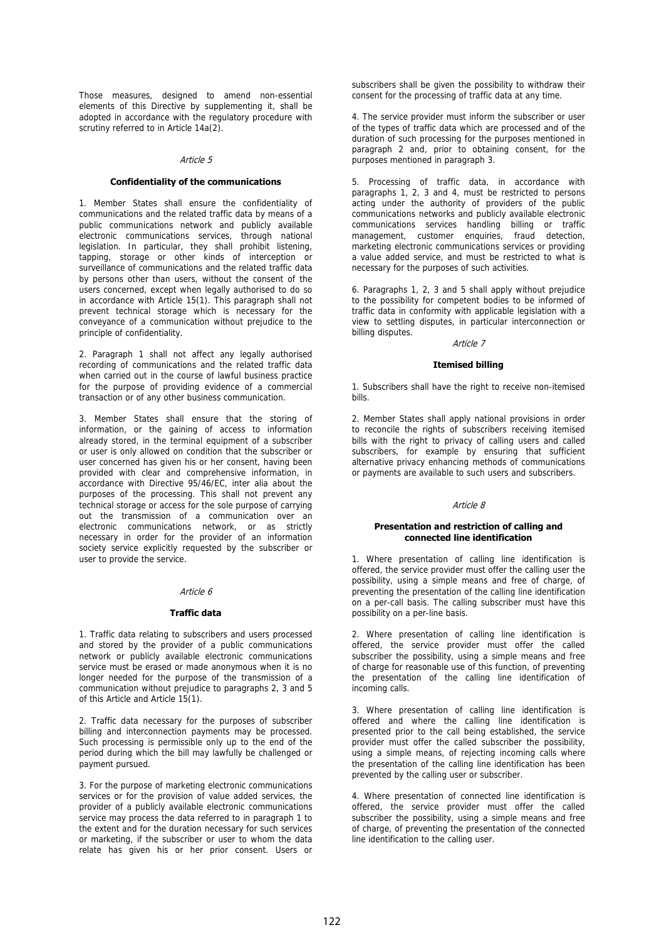Those measures, designed to amend non-essential elements of this Directive by supplementing it, shall be adopted in accordance with the regulatory procedure with scrutiny referred to in Article 14a(2).

### Article 5

## **Confidentiality of the communications**

1. Member States shall ensure the confidentiality of communications and the related traffic data by means of a public communications network and publicly available electronic communications services, through national legislation. In particular, they shall prohibit listening, tapping, storage or other kinds of interception or surveillance of communications and the related traffic data by persons other than users, without the consent of the users concerned, except when legally authorised to do so in accordance with Article 15(1). This paragraph shall not prevent technical storage which is necessary for the conveyance of a communication without prejudice to the principle of confidentiality.

2. Paragraph 1 shall not affect any legally authorised recording of communications and the related traffic data when carried out in the course of lawful business practice for the purpose of providing evidence of a commercial transaction or of any other business communication.

3. Member States shall ensure that the storing of information, or the gaining of access to information already stored, in the terminal equipment of a subscriber or user is only allowed on condition that the subscriber or user concerned has given his or her consent, having been provided with clear and comprehensive information, in accordance with Directive 95/46/EC, inter alia about the purposes of the processing. This shall not prevent any technical storage or access for the sole purpose of carrying out the transmission of a communication over an electronic communications network, or as strictly necessary in order for the provider of an information society service explicitly requested by the subscriber or user to provide the service.

#### Article 6

### **Traffic data**

1. Traffic data relating to subscribers and users processed and stored by the provider of a public communications network or publicly available electronic communications service must be erased or made anonymous when it is no longer needed for the purpose of the transmission of a communication without prejudice to paragraphs 2, 3 and 5 of this Article and Article 15(1).

2. Traffic data necessary for the purposes of subscriber billing and interconnection payments may be processed. Such processing is permissible only up to the end of the period during which the bill may lawfully be challenged or payment pursued.

3. For the purpose of marketing electronic communications services or for the provision of value added services, the provider of a publicly available electronic communications service may process the data referred to in paragraph 1 to the extent and for the duration necessary for such services or marketing, if the subscriber or user to whom the data relate has given his or her prior consent. Users or

subscribers shall be given the possibility to withdraw their consent for the processing of traffic data at any time.

4. The service provider must inform the subscriber or user of the types of traffic data which are processed and of the duration of such processing for the purposes mentioned in paragraph 2 and, prior to obtaining consent, for the purposes mentioned in paragraph 3.

5. Processing of traffic data, in accordance with paragraphs 1, 2, 3 and 4, must be restricted to persons acting under the authority of providers of the public communications networks and publicly available electronic communications services handling billing or traffic management, customer enquiries, fraud detection, marketing electronic communications services or providing a value added service, and must be restricted to what is necessary for the purposes of such activities.

6. Paragraphs 1, 2, 3 and 5 shall apply without prejudice to the possibility for competent bodies to be informed of traffic data in conformity with applicable legislation with a view to settling disputes, in particular interconnection or billing disputes.

## Article 7

### **Itemised billing**

1. Subscribers shall have the right to receive non-itemised bills.

2. Member States shall apply national provisions in order to reconcile the rights of subscribers receiving itemised bills with the right to privacy of calling users and called subscribers, for example by ensuring that sufficient alternative privacy enhancing methods of communications or payments are available to such users and subscribers.

## Article 8

## **Presentation and restriction of calling and connected line identification**

1. Where presentation of calling line identification is offered, the service provider must offer the calling user the possibility, using a simple means and free of charge, of preventing the presentation of the calling line identification on a per-call basis. The calling subscriber must have this possibility on a per-line basis.

2. Where presentation of calling line identification is offered, the service provider must offer the called subscriber the possibility, using a simple means and free of charge for reasonable use of this function, of preventing the presentation of the calling line identification of incoming calls.

3. Where presentation of calling line identification is offered and where the calling line identification is presented prior to the call being established, the service provider must offer the called subscriber the possibility, using a simple means, of rejecting incoming calls where the presentation of the calling line identification has been prevented by the calling user or subscriber.

4. Where presentation of connected line identification is offered, the service provider must offer the called subscriber the possibility, using a simple means and free of charge, of preventing the presentation of the connected line identification to the calling user.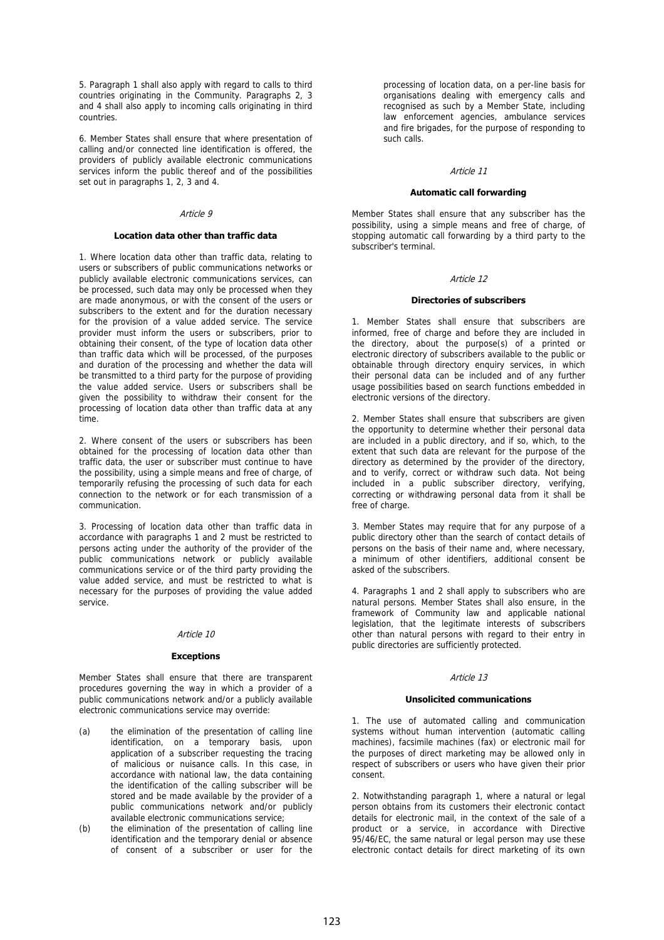5. Paragraph 1 shall also apply with regard to calls to third countries originating in the Community. Paragraphs 2, 3 and 4 shall also apply to incoming calls originating in third countries.

6. Member States shall ensure that where presentation of calling and/or connected line identification is offered, the providers of publicly available electronic communications services inform the public thereof and of the possibilities set out in paragraphs 1, 2, 3 and 4.

### Article 9

## **Location data other than traffic data**

1. Where location data other than traffic data, relating to users or subscribers of public communications networks or publicly available electronic communications services, can be processed, such data may only be processed when they are made anonymous, or with the consent of the users or subscribers to the extent and for the duration necessary for the provision of a value added service. The service provider must inform the users or subscribers, prior to obtaining their consent, of the type of location data other than traffic data which will be processed, of the purposes and duration of the processing and whether the data will be transmitted to a third party for the purpose of providing the value added service. Users or subscribers shall be given the possibility to withdraw their consent for the processing of location data other than traffic data at any time.

2. Where consent of the users or subscribers has been obtained for the processing of location data other than traffic data, the user or subscriber must continue to have the possibility, using a simple means and free of charge, of temporarily refusing the processing of such data for each connection to the network or for each transmission of a communication.

3. Processing of location data other than traffic data in accordance with paragraphs 1 and 2 must be restricted to persons acting under the authority of the provider of the public communications network or publicly available communications service or of the third party providing the value added service, and must be restricted to what is necessary for the purposes of providing the value added service.

#### Article 10

### **Exceptions**

Member States shall ensure that there are transparent procedures governing the way in which a provider of a public communications network and/or a publicly available electronic communications service may override:

- (a) the elimination of the presentation of calling line identification, on a temporary basis, upon application of a subscriber requesting the tracing of malicious or nuisance calls. In this case, in accordance with national law, the data containing the identification of the calling subscriber will be stored and be made available by the provider of a public communications network and/or publicly available electronic communications service;
- (b) the elimination of the presentation of calling line identification and the temporary denial or absence of consent of a subscriber or user for the

processing of location data, on a per-line basis for organisations dealing with emergency calls and recognised as such by a Member State, including law enforcement agencies, ambulance services and fire brigades, for the purpose of responding to such calls.

#### Article 11

## **Automatic call forwarding**

Member States shall ensure that any subscriber has the possibility, using a simple means and free of charge, of stopping automatic call forwarding by a third party to the subscriber's terminal.

## Article 12

### **Directories of subscribers**

1. Member States shall ensure that subscribers are informed, free of charge and before they are included in the directory, about the purpose(s) of a printed or electronic directory of subscribers available to the public or obtainable through directory enquiry services, in which their personal data can be included and of any further usage possibilities based on search functions embedded in electronic versions of the directory.

2. Member States shall ensure that subscribers are given the opportunity to determine whether their personal data are included in a public directory, and if so, which, to the extent that such data are relevant for the purpose of the directory as determined by the provider of the directory, and to verify, correct or withdraw such data. Not being included in a public subscriber directory, verifying, correcting or withdrawing personal data from it shall be free of charge.

3. Member States may require that for any purpose of a public directory other than the search of contact details of persons on the basis of their name and, where necessary, a minimum of other identifiers, additional consent be asked of the subscribers.

4. Paragraphs 1 and 2 shall apply to subscribers who are natural persons. Member States shall also ensure, in the framework of Community law and applicable national legislation, that the legitimate interests of subscribers other than natural persons with regard to their entry in public directories are sufficiently protected.

## Article 13

#### **Unsolicited communications**

1. The use of automated calling and communication systems without human intervention (automatic calling machines), facsimile machines (fax) or electronic mail for the purposes of direct marketing may be allowed only in respect of subscribers or users who have given their prior consent.

2. Notwithstanding paragraph 1, where a natural or legal person obtains from its customers their electronic contact details for electronic mail, in the context of the sale of a product or a service, in accordance with Directive 95/46/EC, the same natural or legal person may use these electronic contact details for direct marketing of its own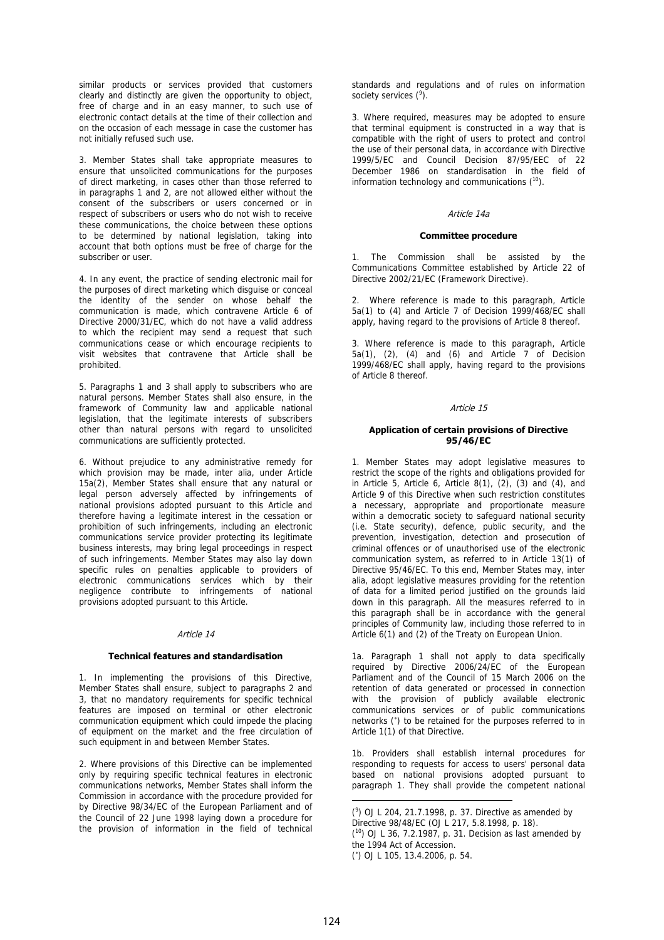similar products or services provided that customers clearly and distinctly are given the opportunity to object, free of charge and in an easy manner, to such use of electronic contact details at the time of their collection and on the occasion of each message in case the customer has not initially refused such use.

3. Member States shall take appropriate measures to ensure that unsolicited communications for the purposes of direct marketing, in cases other than those referred to in paragraphs 1 and 2, are not allowed either without the consent of the subscribers or users concerned or in respect of subscribers or users who do not wish to receive these communications, the choice between these options to be determined by national legislation, taking into account that both options must be free of charge for the subscriber or user.

4. In any event, the practice of sending electronic mail for the purposes of direct marketing which disguise or conceal the identity of the sender on whose behalf the communication is made, which contravene Article 6 of Directive 2000/31/EC, which do not have a valid address to which the recipient may send a request that such communications cease or which encourage recipients to visit websites that contravene that Article shall be prohibited.

5. Paragraphs 1 and 3 shall apply to subscribers who are natural persons. Member States shall also ensure, in the framework of Community law and applicable national legislation, that the legitimate interests of subscribers other than natural persons with regard to unsolicited communications are sufficiently protected.

6. Without prejudice to any administrative remedy for which provision may be made, inter alia, under Article 15a(2), Member States shall ensure that any natural or legal person adversely affected by infringements of national provisions adopted pursuant to this Article and therefore having a legitimate interest in the cessation or prohibition of such infringements, including an electronic communications service provider protecting its legitimate business interests, may bring legal proceedings in respect of such infringements. Member States may also lay down specific rules on penalties applicable to providers of electronic communications services which by their negligence contribute to infringements of national provisions adopted pursuant to this Article.

#### Article 14

#### **Technical features and standardisation**

1. In implementing the provisions of this Directive, Member States shall ensure, subject to paragraphs 2 and 3, that no mandatory requirements for specific technical features are imposed on terminal or other electronic communication equipment which could impede the placing of equipment on the market and the free circulation of such equipment in and between Member States.

2. Where provisions of this Directive can be implemented only by requiring specific technical features in electronic communications networks, Member States shall inform the Commission in accordance with the procedure provided for by Directive 98/34/EC of the European Parliament and of the Council of 22 June 1998 laying down a procedure for the provision of information in the field of technical

standards and regulations and of rules on information society services (<sup>9</sup>).

3. Where required, measures may be adopted to ensure that terminal equipment is constructed in a way that is compatible with the right of users to protect and control the use of their personal data, in accordance with Directive 1999/5/EC and Council Decision 87/95/EEC of 22 December 1986 on standardisation in the field of information technology and communications  $(^{10})$ .

#### Article 14a

### **Committee procedure**

1. The Commission shall be assisted by the Communications Committee established by Article 22 of Directive 2002/21/EC (Framework Directive).

Where reference is made to this paragraph, Article 5a(1) to (4) and Article 7 of Decision 1999/468/EC shall apply, having regard to the provisions of Article 8 thereof.

3. Where reference is made to this paragraph, Article  $5a(1)$ , (2), (4) and (6) and Article  $7$  of Decision 1999/468/EC shall apply, having regard to the provisions of Article 8 thereof.

### Article 15

## **Application of certain provisions of Directive 95/46/EC**

1. Member States may adopt legislative measures to restrict the scope of the rights and obligations provided for in Article 5, Article 6, Article 8(1), (2), (3) and (4), and Article 9 of this Directive when such restriction constitutes a necessary, appropriate and proportionate measure within a democratic society to safeguard national security (i.e. State security), defence, public security, and the prevention, investigation, detection and prosecution of criminal offences or of unauthorised use of the electronic communication system, as referred to in Article 13(1) of Directive 95/46/EC. To this end, Member States may, inter alia, adopt legislative measures providing for the retention of data for a limited period justified on the grounds laid down in this paragraph. All the measures referred to in this paragraph shall be in accordance with the general principles of Community law, including those referred to in Article 6(1) and (2) of the Treaty on European Union.

1a. Paragraph 1 shall not apply to data specifically required by Directive 2006/24/EC of the European Parliament and of the Council of 15 March 2006 on the retention of data generated or processed in connection with the provision of publicly available electronic communications services or of public communications networks (<sup>∗</sup> ) to be retained for the purposes referred to in Article 1(1) of that Directive.

1b. Providers shall establish internal procedures for responding to requests for access to users' personal data based on national provisions adopted pursuant to paragraph 1. They shall provide the competent national

( 9 ) OJ L 204, 21.7.1998, p. 37. Directive as amended by Directive 98/48/EC (OJ L 217, 5.8.1998, p. 18).  $(10)$  OJ L 36, 7.2.1987, p. 31. Decision as last amended by the 1994 Act of Accession. ( ∗ ) OJ L 105, 13.4.2006, p. 54.

 $\overline{a}$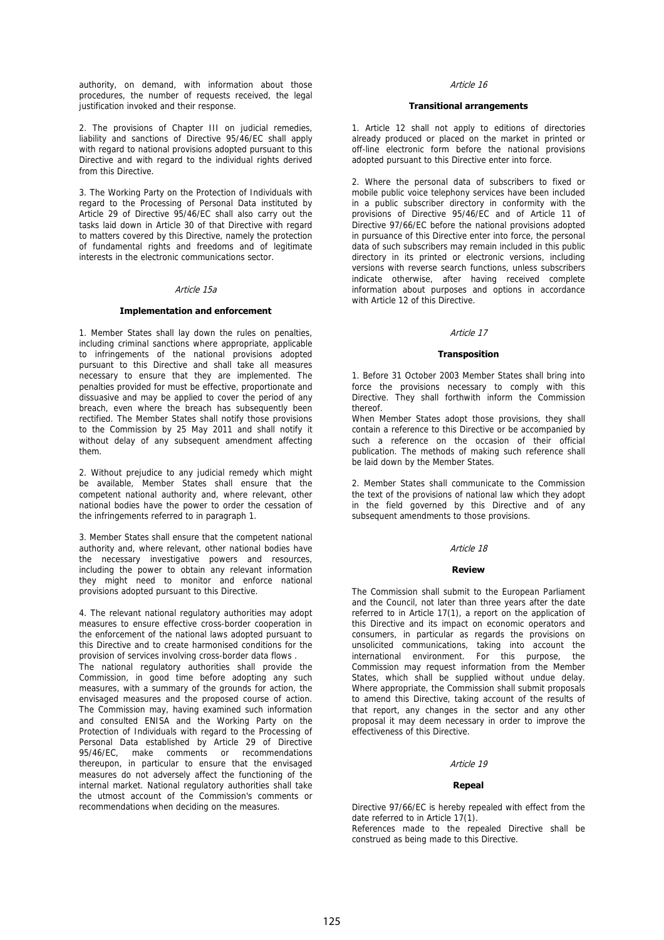authority, on demand, with information about those procedures, the number of requests received, the legal justification invoked and their response.

2. The provisions of Chapter III on judicial remedies, liability and sanctions of Directive 95/46/EC shall apply with regard to national provisions adopted pursuant to this Directive and with regard to the individual rights derived from this Directive.

3. The Working Party on the Protection of Individuals with regard to the Processing of Personal Data instituted by Article 29 of Directive 95/46/EC shall also carry out the tasks laid down in Article 30 of that Directive with regard to matters covered by this Directive, namely the protection of fundamental rights and freedoms and of legitimate interests in the electronic communications sector.

## Article 15a

## **Implementation and enforcement**

1. Member States shall lay down the rules on penalties, including criminal sanctions where appropriate, applicable to infringements of the national provisions adopted pursuant to this Directive and shall take all measures necessary to ensure that they are implemented. The penalties provided for must be effective, proportionate and dissuasive and may be applied to cover the period of any breach, even where the breach has subsequently been rectified. The Member States shall notify those provisions to the Commission by 25 May 2011 and shall notify it without delay of any subsequent amendment affecting them.

2. Without prejudice to any judicial remedy which might be available, Member States shall ensure that the competent national authority and, where relevant, other national bodies have the power to order the cessation of the infringements referred to in paragraph 1.

3. Member States shall ensure that the competent national authority and, where relevant, other national bodies have the necessary investigative powers and resources, including the power to obtain any relevant information they might need to monitor and enforce national provisions adopted pursuant to this Directive.

4. The relevant national regulatory authorities may adopt measures to ensure effective cross-border cooperation in the enforcement of the national laws adopted pursuant to this Directive and to create harmonised conditions for the provision of services involving cross-border data flows .

The national regulatory authorities shall provide the Commission, in good time before adopting any such measures, with a summary of the grounds for action, the envisaged measures and the proposed course of action. The Commission may, having examined such information and consulted ENISA and the Working Party on the Protection of Individuals with regard to the Processing of Personal Data established by Article 29 of Directive 95/46/EC, make comments or recommendations thereupon, in particular to ensure that the envisaged measures do not adversely affect the functioning of the internal market. National regulatory authorities shall take the utmost account of the Commission's comments or recommendations when deciding on the measures.

## Article 16

## **Transitional arrangements**

1. Article 12 shall not apply to editions of directories already produced or placed on the market in printed or off-line electronic form before the national provisions adopted pursuant to this Directive enter into force.

2. Where the personal data of subscribers to fixed or mobile public voice telephony services have been included in a public subscriber directory in conformity with the provisions of Directive 95/46/EC and of Article 11 of Directive 97/66/EC before the national provisions adopted in pursuance of this Directive enter into force, the personal data of such subscribers may remain included in this public directory in its printed or electronic versions, including versions with reverse search functions, unless subscribers indicate otherwise, after having received complete information about purposes and options in accordance with Article 12 of this Directive.

#### Article 17

## **Transposition**

1. Before 31 October 2003 Member States shall bring into force the provisions necessary to comply with this Directive. They shall forthwith inform the Commission thereof.

When Member States adopt those provisions, they shall contain a reference to this Directive or be accompanied by such a reference on the occasion of their official publication. The methods of making such reference shall be laid down by the Member States.

2. Member States shall communicate to the Commission the text of the provisions of national law which they adopt in the field governed by this Directive and of any subsequent amendments to those provisions.

## Article 18

#### **Review**

The Commission shall submit to the European Parliament and the Council, not later than three years after the date referred to in Article 17(1), a report on the application of this Directive and its impact on economic operators and consumers, in particular as regards the provisions on unsolicited communications, taking into account the international environment. For this purpose, the Commission may request information from the Member States, which shall be supplied without undue delay. Where appropriate, the Commission shall submit proposals to amend this Directive, taking account of the results of that report, any changes in the sector and any other proposal it may deem necessary in order to improve the effectiveness of this Directive.

#### Article 19

#### **Repeal**

Directive 97/66/EC is hereby repealed with effect from the date referred to in Article 17(1).

References made to the repealed Directive shall be construed as being made to this Directive.